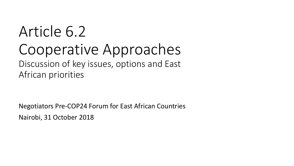# Article 6.2 Cooperative Approaches Discussion of key issues, options and East African priorities

Negotiators Pre-COP24 Forum for East African Countries Nairobi, 31 October 2018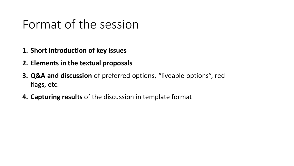#### Format of the session

- **1. Short introduction of key issues**
- **2. Elements in the textual proposals**
- **3. Q&A and discussion** of preferred options, "liveable options", red flags, etc.
- **4. Capturing results** of the discussion in template format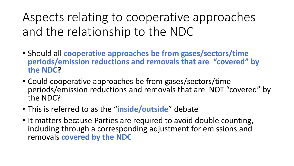Aspects relating to cooperative approaches and the relationship to the NDC

- Should all **cooperative approaches be from gases/sectors/time periods/emission reductions and removals that are "covered" by the NDC?**
- Could cooperative approaches be from gases/sectors/time periods/emission reductions and removals that are NOT "covered" by the NDC?
- This is referred to as the "**inside/outside**" debate
- It matters because Parties are required to avoid double counting, including through a corresponding adjustment for emissions and removals **covered by the NDC**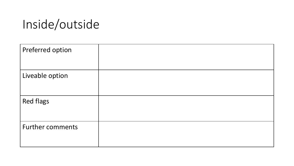# Inside/outside

| Preferred option        |  |
|-------------------------|--|
| Liveable option         |  |
| <b>Red flags</b>        |  |
| <b>Further comments</b> |  |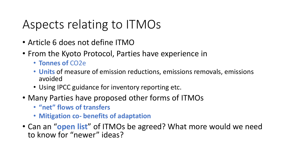## Aspects relating to ITMOs

- Article 6 does not define ITMO
- From the Kyoto Protocol, Parties have experience in
	- **Tonnes of** CO2e
	- **Units** of measure of emission reductions, emissions removals, emissions avoided
	- Using IPCC guidance for inventory reporting etc.
- Many Parties have proposed other forms of ITMOs
	- **"net" flows of transfers**
	- **Mitigation co- benefits of adaptation**
- Can an "**open list**" of ITMOs be agreed? What more would we need to know for "newer" ideas?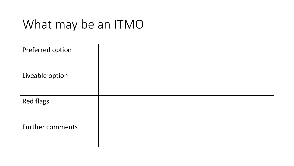# What may be an ITMO

| Preferred option        |  |
|-------------------------|--|
| Liveable option         |  |
| <b>Red flags</b>        |  |
| <b>Further comments</b> |  |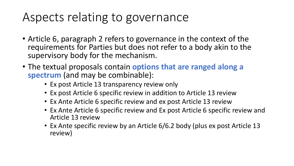## Aspects relating to governance

- Article 6, paragraph 2 refers to governance in the context of the requirements for Parties but does not refer to a body akin to the supervisory body for the mechanism.
- The textual proposals contain **options that are ranged along a spectrum** (and may be combinable):
	- Ex post Article 13 transparency review only
	- Ex post Article 6 specific review in addition to Article 13 review
	- Ex Ante Article 6 specific review and ex post Article 13 review
	- Ex Ante Article 6 specific review and Ex post Article 6 specific review and Article 13 review
	- Ex Ante specific review by an Article 6/6.2 body (plus ex post Article 13 review)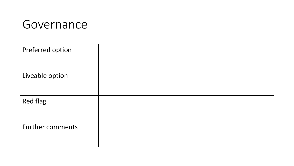

| Preferred option        |  |
|-------------------------|--|
| Liveable option         |  |
| <b>Red flag</b>         |  |
| <b>Further comments</b> |  |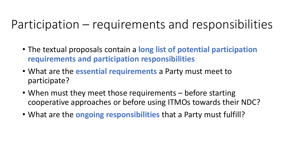### Participation – requirements and responsibilities

- The textual proposals contain a **long list of potential participation requirements and participation responsibilities**
- What are the **essential requirements** a Party must meet to participate?
- When must they meet those requirements before starting cooperative approaches or before using ITMOs towards their NDC?
- What are the **ongoing responsibilities** that a Party must fulfill?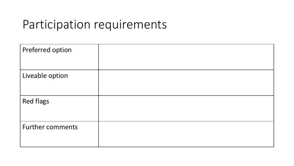#### Participation requirements

| Preferred option        |  |
|-------------------------|--|
| Liveable option         |  |
| <b>Red flags</b>        |  |
| <b>Further comments</b> |  |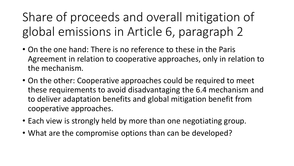Share of proceeds and overall mitigation of global emissions in Article 6, paragraph 2

- On the one hand: There is no reference to these in the Paris Agreement in relation to cooperative approaches, only in relation to the mechanism.
- On the other: Cooperative approaches could be required to meet these requirements to avoid disadvantaging the 6.4 mechanism and to deliver adaptation benefits and global mitigation benefit from cooperative approaches.
- Each view is strongly held by more than one negotiating group.
- What are the compromise options than can be developed?